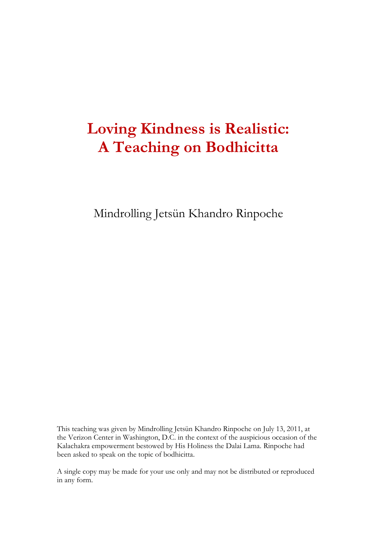# **Loving Kindness is Realistic: A Teaching on Bodhicitta**

Mindrolling Jetsün Khandro Rinpoche

This teaching was given by Mindrolling Jetsün Khandro Rinpoche on July 13, 2011, at the Verizon Center in Washington, D.C. in the context of the auspicious occasion of the Kalachakra empowerment bestowed by His Holiness the Dalai Lama. Rinpoche had been asked to speak on the topic of bodhicitta.

A single copy may be made for your use only and may not be distributed or reproduced in any form.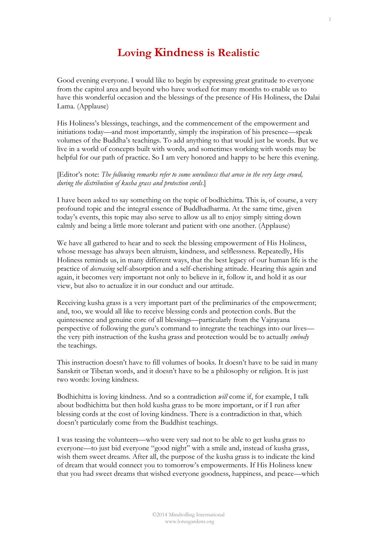# **Loving Kindness is Realistic**

Good evening everyone. I would like to begin by expressing great gratitude to everyone from the capitol area and beyond who have worked for many months to enable us to have this wonderful occasion and the blessings of the presence of His Holiness, the Dalai Lama. (Applause)

His Holiness's blessings, teachings, and the commencement of the empowerment and initiations today—and most importantly, simply the inspiration of his presence—speak volumes of the Buddha's teachings. To add anything to that would just be words. But we live in a world of concepts built with words, and sometimes working with words may be helpful for our path of practice. So I am very honored and happy to be here this evening.

#### [Editor's note: *The following remarks refer to some unruliness that arose in the very large crowd, during the distribution of kusha grass and protection cords*.]

I have been asked to say something on the topic of bodhichitta. This is, of course, a very profound topic and the integral essence of Buddhadharma. At the same time, given today's events, this topic may also serve to allow us all to enjoy simply sitting down calmly and being a little more tolerant and patient with one another. (Applause)

We have all gathered to hear and to seek the blessing empowerment of His Holiness, whose message has always been altruism, kindness, and selflessness. Repeatedly, His Holiness reminds us, in many different ways, that the best legacy of our human life is the practice of *decreasing* self-absorption and a self-cherishing attitude. Hearing this again and again, it becomes very important not only to believe in it, follow it, and hold it as our view, but also to actualize it in our conduct and our attitude.

Receiving kusha grass is a very important part of the preliminaries of the empowerment; and, too, we would all like to receive blessing cords and protection cords. But the quintessence and genuine core of all blessings—particularly from the Vajrayana perspective of following the guru's command to integrate the teachings into our lives the very pith instruction of the kusha grass and protection would be to actually *embody*  the teachings.

This instruction doesn't have to fill volumes of books. It doesn't have to be said in many Sanskrit or Tibetan words, and it doesn't have to be a philosophy or religion. It is just two words: loving kindness.

Bodhichitta is loving kindness. And so a contradiction *will* come if, for example, I talk about bodhichitta but then hold kusha grass to be more important, or if I run after blessing cords at the cost of loving kindness. There is a contradiction in that, which doesn't particularly come from the Buddhist teachings.

I was teasing the volunteers—who were very sad not to be able to get kusha grass to everyone—to just bid everyone "good night" with a smile and, instead of kusha grass, wish them sweet dreams. After all, the purpose of the kusha grass is to indicate the kind of dream that would connect you to tomorrow's empowerments. If His Holiness knew that you had sweet dreams that wished everyone goodness, happiness, and peace—which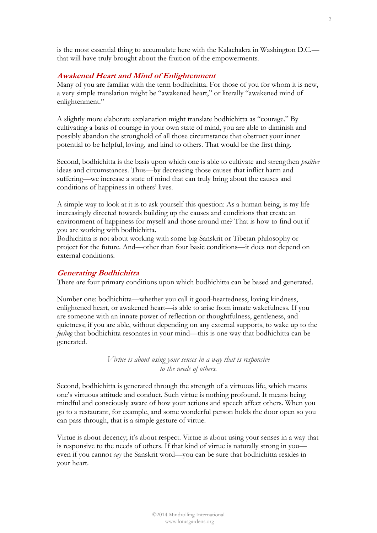is the most essential thing to accumulate here with the Kalachakra in Washington D.C. that will have truly brought about the fruition of the empowerments.

#### **Awakened Heart and Mind of Enlightenment**

Many of you are familiar with the term bodhichitta. For those of you for whom it is new, a very simple translation might be "awakened heart," or literally "awakened mind of enlightenment."

A slightly more elaborate explanation might translate bodhichitta as "courage." By cultivating a basis of courage in your own state of mind, you are able to diminish and possibly abandon the stronghold of all those circumstance that obstruct your inner potential to be helpful, loving, and kind to others. That would be the first thing.

Second, bodhichitta is the basis upon which one is able to cultivate and strengthen *positive* ideas and circumstances. Thus—by decreasing those causes that inflict harm and suffering—we increase a state of mind that can truly bring about the causes and conditions of happiness in others' lives.

A simple way to look at it is to ask yourself this question: As a human being, is my life increasingly directed towards building up the causes and conditions that create an environment of happiness for myself and those around me? That is how to find out if you are working with bodhichitta.

Bodhichitta is not about working with some big Sanskrit or Tibetan philosophy or project for the future. And—other than four basic conditions—it does not depend on external conditions.

#### **Generating Bodhichitta**

There are four primary conditions upon which bodhichitta can be based and generated.

Number one: bodhichitta—whether you call it good-heartedness, loving kindness, enlightened heart, or awakened heart—is able to arise from innate wakefulness. If you are someone with an innate power of reflection or thoughtfulness, gentleness, and quietness; if you are able, without depending on any external supports, to wake up to the *feeling* that bodhichitta resonates in your mind—this is one way that bodhichitta can be generated.

> *Virtue is about using your senses in a way that is responsive to the needs of others.*

Second, bodhichitta is generated through the strength of a virtuous life, which means one's virtuous attitude and conduct. Such virtue is nothing profound. It means being mindful and consciously aware of how your actions and speech affect others. When you go to a restaurant, for example, and some wonderful person holds the door open so you can pass through, that is a simple gesture of virtue.

Virtue is about decency; it's about respect. Virtue is about using your senses in a way that is responsive to the needs of others. If that kind of virtue is naturally strong in you even if you cannot *say* the Sanskrit word—you can be sure that bodhichitta resides in your heart.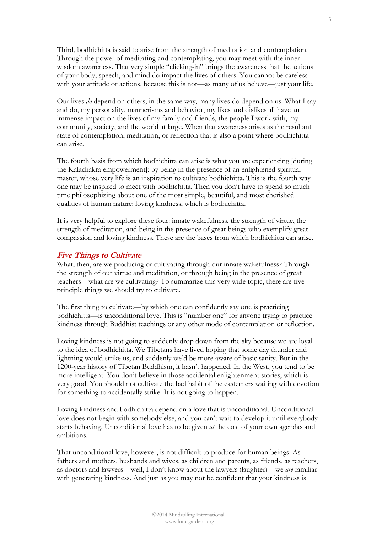Third, bodhichitta is said to arise from the strength of meditation and contemplation. Through the power of meditating and contemplating, you may meet with the inner wisdom awareness. That very simple "clicking-in" brings the awareness that the actions of your body, speech, and mind do impact the lives of others. You cannot be careless with your attitude or actions, because this is not—as many of us believe—just your life.

Our lives *do* depend on others; in the same way, many lives do depend on us. What I say and do, my personality, mannerisms and behavior, my likes and dislikes all have an immense impact on the lives of my family and friends, the people I work with, my community, society, and the world at large. When that awareness arises as the resultant state of contemplation, meditation, or reflection that is also a point where bodhichitta can arise.

The fourth basis from which bodhichitta can arise is what you are experiencing [during the Kalachakra empowerment]: by being in the presence of an enlightened spiritual master, whose very life is an inspiration to cultivate bodhichitta. This is the fourth way one may be inspired to meet with bodhichitta. Then you don't have to spend so much time philosophizing about one of the most simple, beautiful, and most cherished qualities of human nature: loving kindness, which is bodhichitta.

It is very helpful to explore these four: innate wakefulness, the strength of virtue, the strength of meditation, and being in the presence of great beings who exemplify great compassion and loving kindness. These are the bases from which bodhichitta can arise.

#### **Five Things to Cultivate**

What, then, are we producing or cultivating through our innate wakefulness? Through the strength of our virtue and meditation, or through being in the presence of great teachers—what are we cultivating? To summarize this very wide topic, there are five principle things we should try to cultivate.

The first thing to cultivate—by which one can confidently say one is practicing bodhichitta—is unconditional love. This is "number one" for anyone trying to practice kindness through Buddhist teachings or any other mode of contemplation or reflection.

Loving kindness is not going to suddenly drop down from the sky because we are loyal to the idea of bodhichitta. We Tibetans have lived hoping that some day thunder and lightning would strike us, and suddenly we'd be more aware of basic sanity. But in the 1200-year history of Tibetan Buddhism, it hasn't happened. In the West, you tend to be more intelligent. You don't believe in those accidental enlightenment stories, which is very good. You should not cultivate the bad habit of the easterners waiting with devotion for something to accidentally strike. It is not going to happen.

Loving kindness and bodhichitta depend on a love that is unconditional. Unconditional love does not begin with somebody else, and you can't wait to develop it until everybody starts behaving. Unconditional love has to be given *at* the cost of your own agendas and ambitions.

That unconditional love, however, is not difficult to produce for human beings. As fathers and mothers, husbands and wives, as children and parents, as friends, as teachers, as doctors and lawyers—well, I don't know about the lawyers (laughter)—we *are* familiar with generating kindness. And just as you may not be confident that your kindness is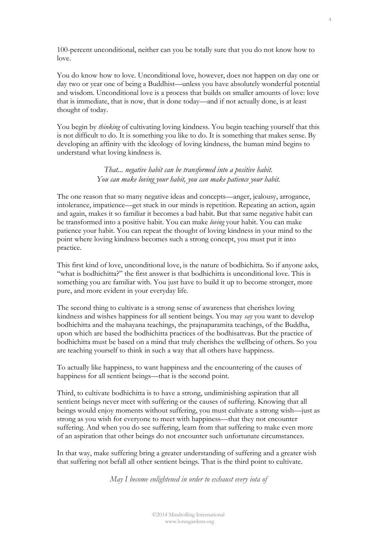100-percent unconditional, neither can you be totally sure that you do not know how to love.

You do know how to love. Unconditional love, however, does not happen on day one or day two or year one of being a Buddhist—unless you have absolutely wonderful potential and wisdom. Unconditional love is a process that builds on smaller amounts of love: love that is immediate, that is now, that is done today—and if not actually done, is at least thought of today.

You begin by *thinking* of cultivating loving kindness. You begin teaching yourself that this is not difficult to do. It is something you like to do. It is something that makes sense. By developing an affinity with the ideology of loving kindness, the human mind begins to understand what loving kindness is.

> *That... negative habit can be transformed into a positive habit. You can make loving your habit, you can make patience your habit.*

The one reason that so many negative ideas and concepts—anger, jealousy, arrogance, intolerance, impatience—get stuck in our minds is repetition. Repeating an action, again and again, makes it so familiar it becomes a bad habit. But that same negative habit can be transformed into a positive habit. You can make *loving* your habit. You can make patience your habit. You can repeat the thought of loving kindness in your mind to the point where loving kindness becomes such a strong concept, you must put it into practice.

This first kind of love, unconditional love, is the nature of bodhichitta. So if anyone asks, "what is bodhichitta?" the first answer is that bodhichitta is unconditional love. This is something you are familiar with. You just have to build it up to become stronger, more pure, and more evident in your everyday life.

The second thing to cultivate is a strong sense of awareness that cherishes loving kindness and wishes happiness for all sentient beings. You may *say* you want to develop bodhichitta and the mahayana teachings, the prajnaparamita teachings, of the Buddha, upon which are based the bodhichitta practices of the bodhisattvas. But the practice of bodhichitta must be based on a mind that truly cherishes the wellbeing of others. So you are teaching yourself to think in such a way that all others have happiness.

To actually like happiness, to want happiness and the encountering of the causes of happiness for all sentient beings—that is the second point.

Third, to cultivate bodhichitta is to have a strong, undiminishing aspiration that all sentient beings never meet with suffering or the causes of suffering. Knowing that all beings would enjoy moments without suffering, you must cultivate a strong wish—just as strong as you wish for everyone to meet with happiness—that they not encounter suffering. And when you do see suffering, learn from that suffering to make even more of an aspiration that other beings do not encounter such unfortunate circumstances.

In that way, make suffering bring a greater understanding of suffering and a greater wish that suffering not befall all other sentient beings. That is the third point to cultivate.

*May I become enlightened in order to exhaust every iota of*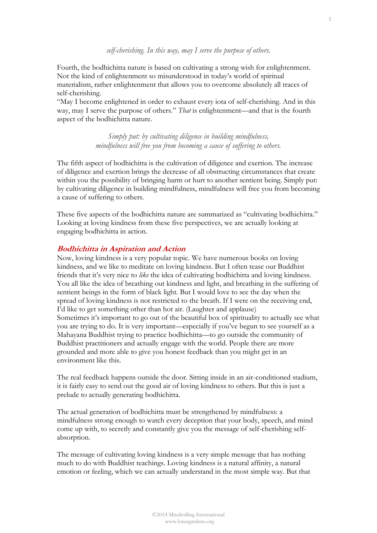#### *self-cherishing. In this way, may I serve the purpose of others.*

Fourth, the bodhichitta nature is based on cultivating a strong wish for enlightenment. Not the kind of enlightenment so misunderstood in today's world of spiritual materialism, rather enlightenment that allows you to overcome absolutely all traces of self-cherishing.

"May I become enlightened in order to exhaust every iota of self-cherishing. And in this way, may I serve the purpose of others." *That* is enlightenment—and that is the fourth aspect of the bodhichitta nature.

> *Simply put: by cultivating diligence in building mindfulness, mindfulness will free you from becoming a cause of suffering to others.*

The fifth aspect of bodhichitta is the cultivation of diligence and exertion. The increase of diligence and exertion brings the decrease of all obstructing circumstances that create within you the possibility of bringing harm or hurt to another sentient being. Simply put: by cultivating diligence in building mindfulness, mindfulness will free you from becoming a cause of suffering to others.

These five aspects of the bodhichitta nature are summarized as "cultivating bodhichitta." Looking at loving kindness from these five perspectives, we are actually looking at engaging bodhichitta in action.

#### **Bodhichitta in Aspiration and Action**

Now, loving kindness is a very popular topic. We have numerous books on loving kindness, and we like to meditate on loving kindness. But I often tease our Buddhist friends that it's very nice to *like* the idea of cultivating bodhichitta and loving kindness. You all like the idea of breathing out kindness and light, and breathing in the suffering of sentient beings in the form of black light. But I would love to see the day when the spread of loving kindness is not restricted to the breath. If I were on the receiving end, I'd like to get something other than hot air. (Laughter and applause) Sometimes it's important to go out of the beautiful box of spirituality to actually see what you are trying to do. It is very important—especially if you've begun to see yourself as a Mahayana Buddhist trying to practice bodhichitta—to go outside the community of Buddhist practitioners and actually engage with the world. People there are more grounded and more able to give you honest feedback than you might get in an environment like this.

The real feedback happens outside the door. Sitting inside in an air-conditioned stadium, it is fairly easy to send out the good air of loving kindness to others. But this is just a prelude to actually generating bodhichitta.

The actual generation of bodhichitta must be strengthened by mindfulness: a mindfulness strong enough to watch every deception that your body, speech, and mind come up with, to secretly and constantly give you the message of self-cherishing selfabsorption.

The message of cultivating loving kindness is a very simple message that has nothing much to do with Buddhist teachings. Loving kindness is a natural affinity, a natural emotion or feeling, which we can actually understand in the most simple way. But that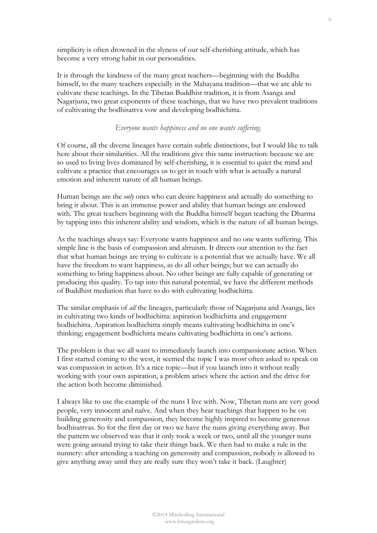simplicity is often drowned in the slyness of our self-cherishing attitude, which has become a very strong habit in our personalities.

It is through the kindness of the many great teachers—beginning with the Buddha himself, to the many teachers especially in the Mahayana tradition—that we are able to cultivate these teachings. In the Tibetan Buddhist tradition, it is from Asanga and Nagarjuna, two great exponents of these teachings, that we have two prevalent traditions of cultivating the bodhisattva vow and developing bodhichitta.

## *Everyone wants happiness and no one wants suffering.*

Of course, all the diverse lineages have certain subtle distinctions, but I would like to talk here about their similarities. All the traditions give this same instruction: because we are so used to living lives dominated by self-cherishing, it is essential to quiet the mind and cultivate a practice that encourages us to get in touch with what is actually a natural emotion and inherent nature of all human beings.

Human beings are the *only* ones who can desire happiness and actually do something to bring it about. This is an immense power and ability that human beings are endowed with. The great teachers beginning with the Buddha himself began teaching the Dharma by tapping into this inherent ability and wisdom, which is the nature of all human beings.

As the teachings always say: Everyone wants happiness and no one wants suffering. This simple line is the basis of compassion and altruism. It directs our attention to the fact that what human beings are trying to cultivate is a potential that we actually have. We all have the freedom to want happiness, as do all other beings; but we can actually do something to bring happiness about. No other beings are fully capable of generating or producing this quality. To tap into this natural potential, we have the different methods of Buddhist mediation that have to do with cultivating bodhichitta.

The similar emphasis of *all* the lineages, particularly those of Nagarjuna and Asanga, lies in cultivating two kinds of bodhichitta: aspiration bodhichitta and engagement bodhichitta. Aspiration bodhichitta simply means cultivating bodhichitta in one's thinking; engagement bodhichitta means cultivating bodhichitta in one's actions.

The problem is that we all want to immediately launch into compassionate action. When I first started coming to the west, it seemed the topic I was most often asked to speak on was compassion in action. It's a nice topic—but if you launch into it without really working with your own aspiration, a problem arises where the action and the drive for the action both become diminished.

I always like to use the example of the nuns I live with. Now, Tibetan nuns are very good people, very innocent and naïve. And when they hear teachings that happen to be on building generosity and compassion, they become highly inspired to become generous bodhisattvas. So for the first day or two we have the nuns giving everything away. But the pattern we observed was that it only took a week or two, until all the younger nuns were going around trying to take their things back. We then had to make a rule in the nunnery: after attending a teaching on generosity and compassion, nobody is allowed to give anything away until they are really sure they won't take it back. (Laughter)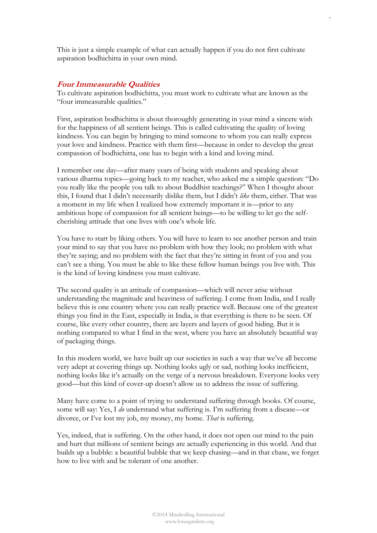This is just a simple example of what can actually happen if you do not first cultivate aspiration bodhichitta in your own mind.

#### **Four Immeasurable Qualities**

To cultivate aspiration bodhichitta, you must work to cultivate what are known as the "four immeasurable qualities."

First, aspiration bodhichitta is about thoroughly generating in your mind a sincere wish for the happiness of all sentient beings. This is called cultivating the quality of loving kindness. You can begin by bringing to mind someone to whom you can really express your love and kindness. Practice with them first—because in order to develop the great compassion of bodhichitta, one has to begin with a kind and loving mind.

I remember one day—after many years of being with students and speaking about various dharma topics—going back to my teacher, who asked me a simple question: "Do you really like the people you talk to about Buddhist teachings?" When I thought about this, I found that I didn't necessarily dislike them, but I didn't *like* them, either. That was a moment in my life when I realized how extremely important it is—prior to any ambitious hope of compassion for all sentient beings—to be willing to let go the selfcherishing attitude that one lives with one's whole life.

You have to start by liking others. You will have to learn to see another person and train your mind to say that you have no problem with how they look; no problem with what they're saying; and no problem with the fact that they're sitting in front of you and you can't see a thing. You must be able to like these fellow human beings you live with. This is the kind of loving kindness you must cultivate.

The second quality is an attitude of compassion—which will never arise without understanding the magnitude and heaviness of suffering. I come from India, and I really believe this is one country where you can really practice well. Because one of the greatest things you find in the East, especially in India, is that everything is there to be seen. Of course, like every other country, there are layers and layers of good hiding. But it is nothing compared to what I find in the west, where you have an absolutely beautiful way of packaging things.

In this modern world, we have built up our societies in such a way that we've all become very adept at covering things up. Nothing looks ugly or sad, nothing looks inefficient, nothing looks like it's actually on the verge of a nervous breakdown. Everyone looks very good—but this kind of cover-up doesn't allow us to address the issue of suffering.

Many have come to a point of trying to understand suffering through books. Of course, some will say: Yes, I *do* understand what suffering is. I'm suffering from a disease—or divorce, or I've lost my job, my money, my home. *That* is suffering.

Yes, indeed, that is suffering. On the other hand, it does not open our mind to the pain and hurt that millions of sentient beings are actually experiencing in this world. And that builds up a bubble: a beautiful bubble that we keep chasing—and in that chase, we forget how to live with and be tolerant of one another.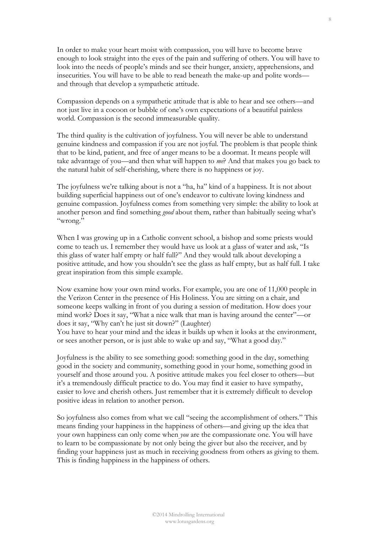In order to make your heart moist with compassion, you will have to become brave enough to look straight into the eyes of the pain and suffering of others. You will have to look into the needs of people's minds and see their hunger, anxiety, apprehensions, and insecurities. You will have to be able to read beneath the make-up and polite words and through that develop a sympathetic attitude.

Compassion depends on a sympathetic attitude that is able to hear and see others—and not just live in a cocoon or bubble of one's own expectations of a beautiful painless world. Compassion is the second immeasurable quality.

The third quality is the cultivation of joyfulness. You will never be able to understand genuine kindness and compassion if you are not joyful. The problem is that people think that to be kind, patient, and free of anger means to be a doormat. It means people will take advantage of you—and then what will happen to *me*? And that makes you go back to the natural habit of self-cherishing, where there is no happiness or joy.

The joyfulness we're talking about is not a "ha, ha" kind of a happiness. It is not about building superficial happiness out of one's endeavor to cultivate loving kindness and genuine compassion. Joyfulness comes from something very simple: the ability to look at another person and find something *good* about them, rather than habitually seeing what's "wrong."

When I was growing up in a Catholic convent school, a bishop and some priests would come to teach us. I remember they would have us look at a glass of water and ask, "Is this glass of water half empty or half full?" And they would talk about developing a positive attitude, and how you shouldn't see the glass as half empty, but as half full. I take great inspiration from this simple example.

Now examine how your own mind works. For example, you are one of 11,000 people in the Verizon Center in the presence of His Holiness. You are sitting on a chair, and someone keeps walking in front of you during a session of meditation. How does your mind work? Does it say, "What a nice walk that man is having around the center"—or does it say, "Why can't he just sit down?" (Laughter)

You have to hear your mind and the ideas it builds up when it looks at the environment, or sees another person, or is just able to wake up and say, "What a good day."

Joyfulness is the ability to see something good: something good in the day, something good in the society and community, something good in your home, something good in yourself and those around you. A positive attitude makes you feel closer to others—but it's a tremendously difficult practice to do. You may find it easier to have sympathy, easier to love and cherish others. Just remember that it is extremely difficult to develop positive ideas in relation to another person.

So joyfulness also comes from what we call "seeing the accomplishment of others." This means finding your happiness in the happiness of others—and giving up the idea that your own happiness can only come when *you* are the compassionate one. You will have to learn to be compassionate by not only being the giver but also the receiver, and by finding your happiness just as much in receiving goodness from others as giving to them. This is finding happiness in the happiness of others.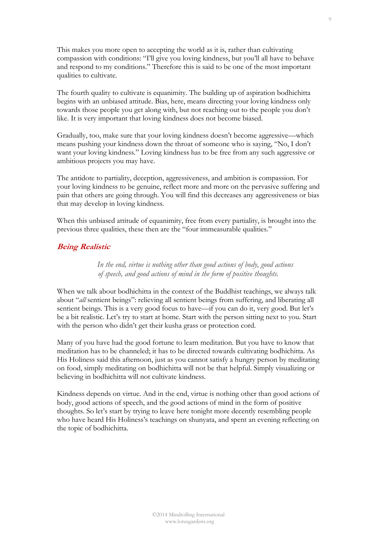This makes you more open to accepting the world as it is, rather than cultivating compassion with conditions: "I'll give you loving kindness, but you'll all have to behave and respond to my conditions." Therefore this is said to be one of the most important qualities to cultivate.

The fourth quality to cultivate is equanimity. The building up of aspiration bodhichitta begins with an unbiased attitude. Bias, here, means directing your loving kindness only towards those people you get along with, but not reaching out to the people you don't like. It is very important that loving kindness does not become biased.

Gradually, too, make sure that your loving kindness doesn't become aggressive—which means pushing your kindness down the throat of someone who is saying, "No, I don't want your loving kindness." Loving kindness has to be free from any such aggressive or ambitious projects you may have.

The antidote to partiality, deception, aggressiveness, and ambition is compassion. For your loving kindness to be genuine, reflect more and more on the pervasive suffering and pain that others are going through. You will find this decreases any aggressiveness or bias that may develop in loving kindness.

When this unbiased attitude of equanimity, free from every partiality, is brought into the previous three qualities, these then are the "four immeasurable qualities."

## **Being Realistic**

*In the end, virtue is nothing other than good actions of body, good actions of speech, and good actions of mind in the form of positive thoughts.* 

When we talk about bodhichitta in the context of the Buddhist teachings, we always talk about "*all* sentient beings": relieving all sentient beings from suffering, and liberating all sentient beings. This is a very good focus to have—if you can do it, very good. But let's be a bit realistic. Let's try to start at home. Start with the person sitting next to you. Start with the person who didn't get their kusha grass or protection cord.

Many of you have had the good fortune to learn meditation. But you have to know that meditation has to be channeled; it has to be directed towards cultivating bodhichitta. As His Holiness said this afternoon, just as you cannot satisfy a hungry person by meditating on food, simply meditating on bodhichitta will not be that helpful. Simply visualizing or believing in bodhichitta will not cultivate kindness.

Kindness depends on virtue. And in the end, virtue is nothing other than good actions of body, good actions of speech, and the good actions of mind in the form of positive thoughts. So let's start by trying to leave here tonight more decently resembling people who have heard His Holiness's teachings on shunyata, and spent an evening reflecting on the topic of bodhichitta.